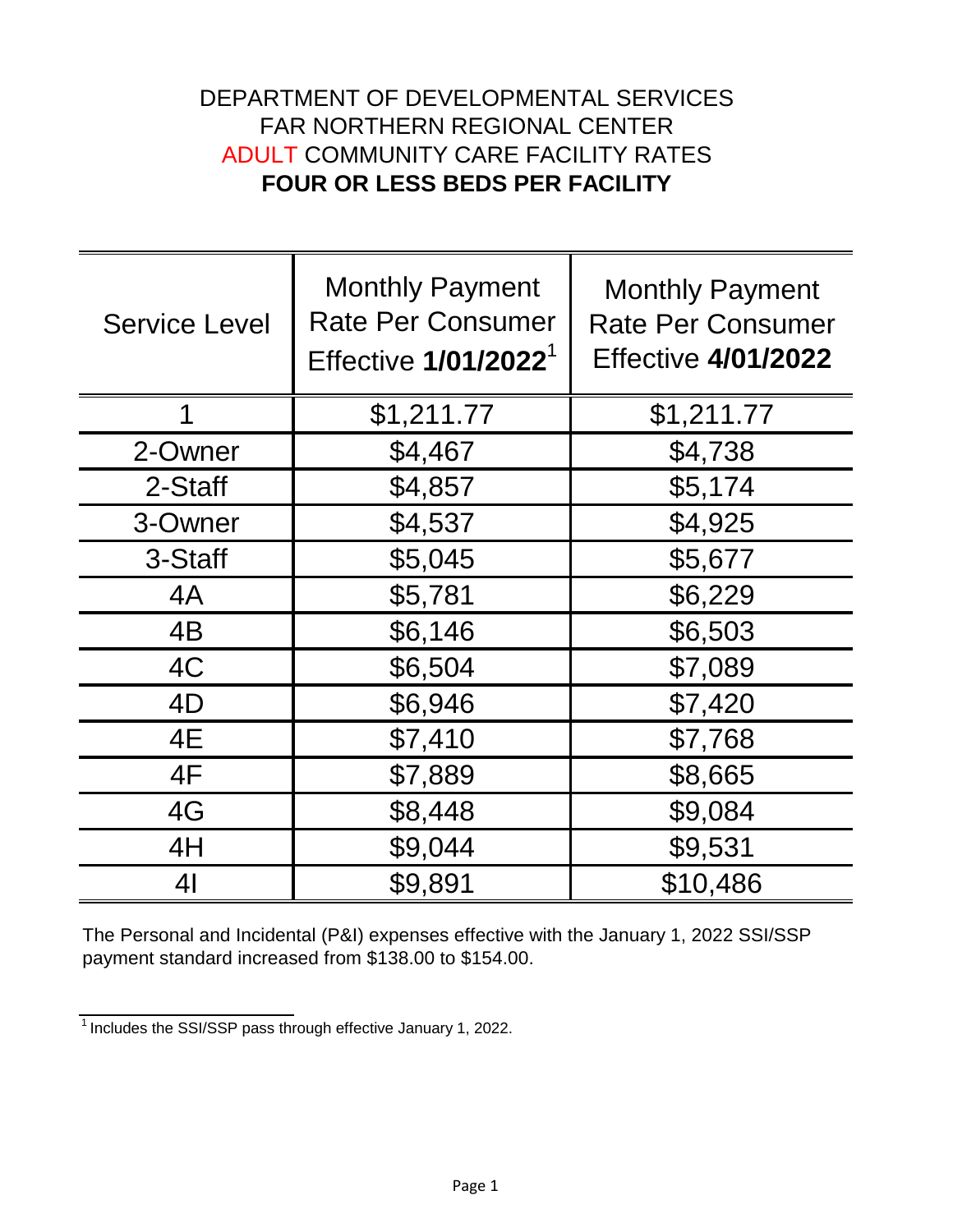## DEPARTMENT OF DEVELOPMENTAL SERVICES FAR NORTHERN REGIONAL CENTER ADULT COMMUNITY CARE FACILITY RATES **FOUR OR LESS BEDS PER FACILITY**

| <b>Service Level</b> | <b>Monthly Payment</b><br><b>Rate Per Consumer</b><br>Effective 1/01/2022 <sup>1</sup> | <b>Monthly Payment</b><br><b>Rate Per Consumer</b><br><b>Effective 4/01/2022</b> |
|----------------------|----------------------------------------------------------------------------------------|----------------------------------------------------------------------------------|
| 1                    | \$1,211.77                                                                             | \$1,211.77                                                                       |
| 2-Owner              | \$4,467                                                                                | \$4,738                                                                          |
| 2-Staff              | \$4,857                                                                                | \$5,174                                                                          |
| 3-Owner              | \$4,537                                                                                | \$4,925                                                                          |
| 3-Staff              | \$5,045                                                                                | \$5,677                                                                          |
| 4A                   | \$5,781                                                                                | \$6,229                                                                          |
| 4B                   | \$6,146                                                                                | \$6,503                                                                          |
| 4C                   | \$6,504                                                                                | \$7,089                                                                          |
| 4D                   | \$6,946                                                                                | \$7,420                                                                          |
| 4E                   | \$7,410                                                                                | \$7,768                                                                          |
| 4F                   | \$7,889                                                                                | \$8,665                                                                          |
| 4G                   | \$8,448                                                                                | \$9,084                                                                          |
| 4H                   | \$9,044                                                                                | \$9,531                                                                          |
| 4 <sub>l</sub>       | \$9,891                                                                                | \$10,486                                                                         |

The Personal and Incidental (P&I) expenses effective with the January 1, 2022 SSI/SSP payment standard increased from \$138.00 to \$154.00.

 $\frac{1}{1}$ Includes the SSI/SSP pass through effective January 1, 2022.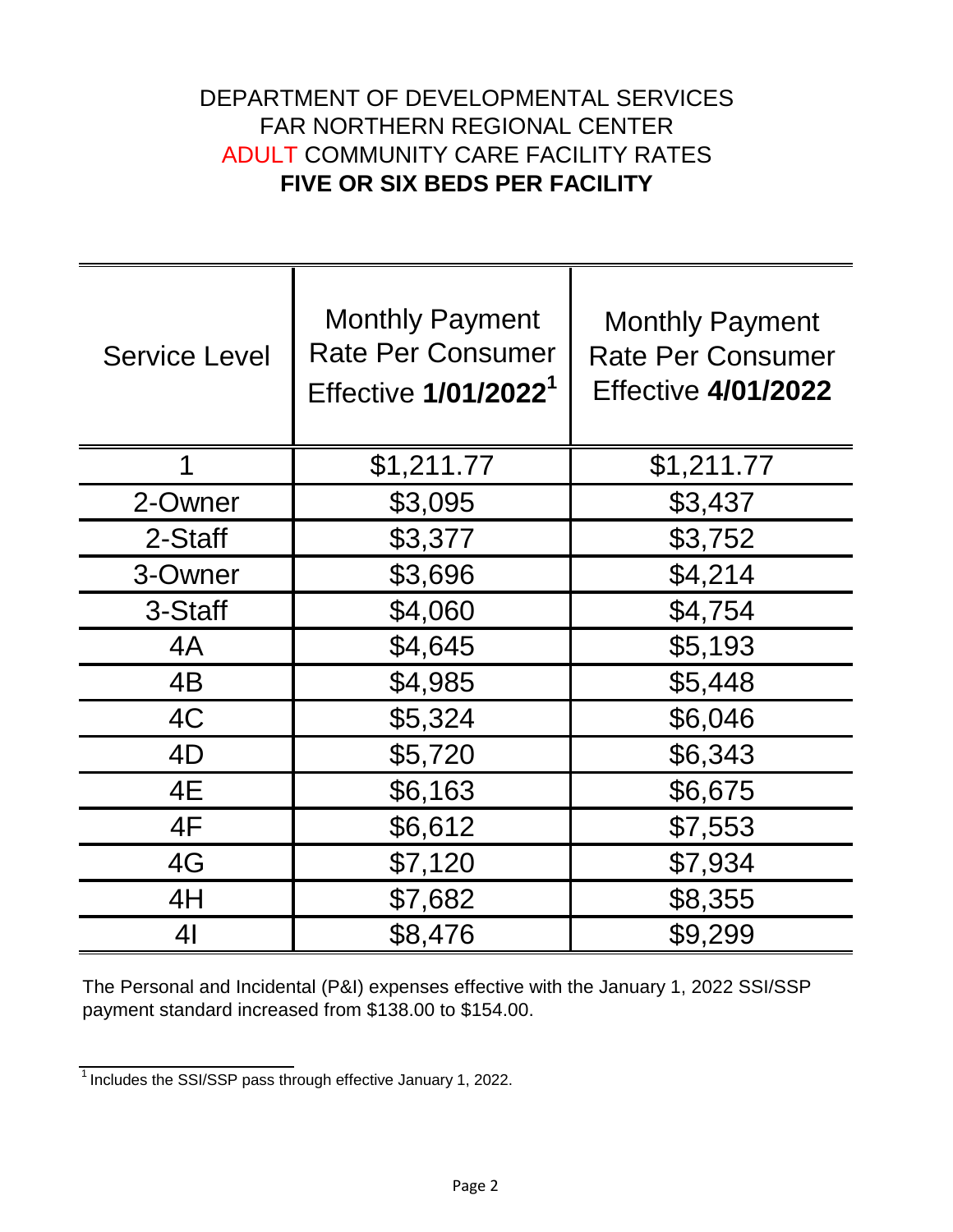## DEPARTMENT OF DEVELOPMENTAL SERVICES FAR NORTHERN REGIONAL CENTER ADULT COMMUNITY CARE FACILITY RATES **FIVE OR SIX BEDS PER FACILITY**

| <b>Service Level</b> | <b>Monthly Payment</b><br><b>Rate Per Consumer</b><br>Effective 1/01/2022 <sup>1</sup> | <b>Monthly Payment</b><br><b>Rate Per Consumer</b><br><b>Effective 4/01/2022</b> |
|----------------------|----------------------------------------------------------------------------------------|----------------------------------------------------------------------------------|
| 1                    | \$1,211.77                                                                             | \$1,211.77                                                                       |
| 2-Owner              | \$3,095                                                                                | \$3,437                                                                          |
| 2-Staff              | \$3,377                                                                                | \$3,752                                                                          |
| 3-Owner              | \$3,696                                                                                | \$4,214                                                                          |
| 3-Staff              | \$4,060                                                                                | \$4,754                                                                          |
| 4A                   | \$4,645                                                                                | \$5,193                                                                          |
| 4B                   | \$4,985                                                                                | \$5,448                                                                          |
| 4C                   | \$5,324                                                                                | \$6,046                                                                          |
| 4D                   | \$5,720                                                                                | \$6,343                                                                          |
| 4E                   | \$6,163                                                                                | \$6,675                                                                          |
| 4F                   | \$6,612                                                                                | \$7,553                                                                          |
| 4G                   | \$7,120                                                                                | \$7,934                                                                          |
| 4H                   | \$7,682                                                                                | \$8,355                                                                          |
| 41                   | \$8,476                                                                                | \$9,299                                                                          |

The Personal and Incidental (P&I) expenses effective with the January 1, 2022 SSI/SSP payment standard increased from \$138.00 to \$154.00.

 $\frac{1}{1}$  Includes the SSI/SSP pass through effective January 1, 2022.